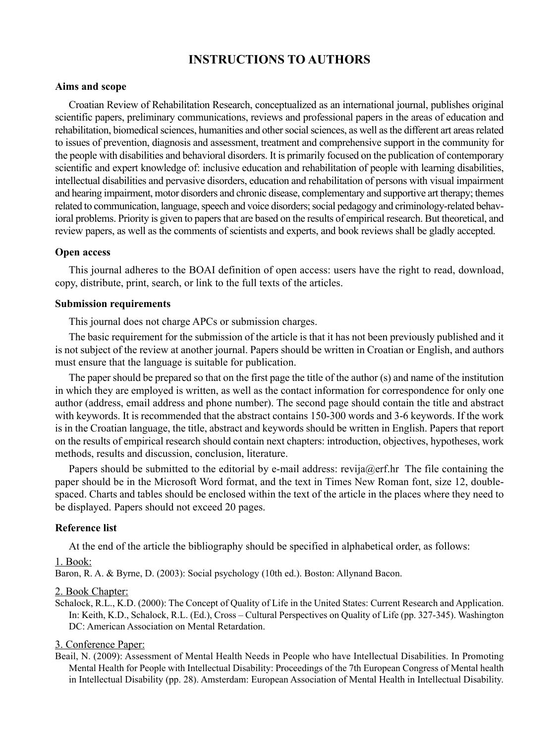# **INSTRUCTIONS TO AUTHORS**

## **Aims and scope**

Croatian Review of Rehabilitation Research, conceptualized as an international journal, publishes original scientific papers, preliminary communications, reviews and professional papers in the areas of education and rehabilitation, biomedical sciences, humanities and other social sciences, as well as the different art areas related to issues of prevention, diagnosis and assessment, treatment and comprehensive support in the community for the people with disabilities and behavioral disorders. It is primarily focused on the publication of contemporary scientific and expert knowledge of: inclusive education and rehabilitation of people with learning disabilities, intellectual disabilities and pervasive disorders, education and rehabilitation of persons with visual impairment and hearing impairment, motor disorders and chronic disease, complementary and supportive art therapy; themes related to communication, language, speech and voice disorders; social pedagogy and criminology-related behavioral problems. Priority is given to papers that are based on the results of empirical research. But theoretical, and review papers, as well as the comments of scientists and experts, and book reviews shall be gladly accepted.

#### **Open access**

This journal adheres to the BOAI definition of open access: users have the right to read, download, copy, distribute, print, search, or link to the full texts of the articles.

# **Submission requirements**

This journal does not charge APCs or submission charges.

The basic requirement for the submission of the article is that it has not been previously published and it is not subject of the review at another journal. Papers should be written in Croatian or English, and authors must ensure that the language is suitable for publication.

The paper should be prepared so that on the first page the title of the author (s) and name of the institution in which they are employed is written, as well as the contact information for correspondence for only one author (address, email address and phone number). The second page should contain the title and abstract with keywords. It is recommended that the abstract contains 150-300 words and 3-6 keywords. If the work is in the Croatian language, the title, abstract and keywords should be written in English. Papers that report on the results of empirical research should contain next chapters: introduction, objectives, hypotheses, work methods, results and discussion, conclusion, literature.

Papers should be submitted to the editorial by e-mail address: revija@erf.hr The file containing the paper should be in the Microsoft Word format, and the text in Times New Roman font, size 12, doublespaced. Charts and tables should be enclosed within the text of the article in the places where they need to be displayed. Papers should not exceed 20 pages.

## **Reference list**

At the end of the article the bibliography should be specified in alphabetical order, as follows:

#### 1. Book:

Baron, R. A. & Byrne, D. (2003): Social psychology (10th ed.). Boston: Allynand Bacon.

# 2. Book Chapter:

Schalock, R.L., K.D. (2000): The Concept of Quality of Life in the United States: Current Research and Application. In: Keith, K.D., Schalock, R.L. (Ed.), Cross – Cultural Perspectives on Quality of Life (pp. 327-345). Washington DC: American Association on Mental Retardation.

### 3. Conference Paper:

Beail, N. (2009): Assessment of Mental Health Needs in People who have Intellectual Disabilities. In Promoting Mental Health for People with Intellectual Disability: Proceedings of the 7th European Congress of Mental health in Intellectual Disability (pp. 28). Amsterdam: European Association of Mental Health in Intellectual Disability.